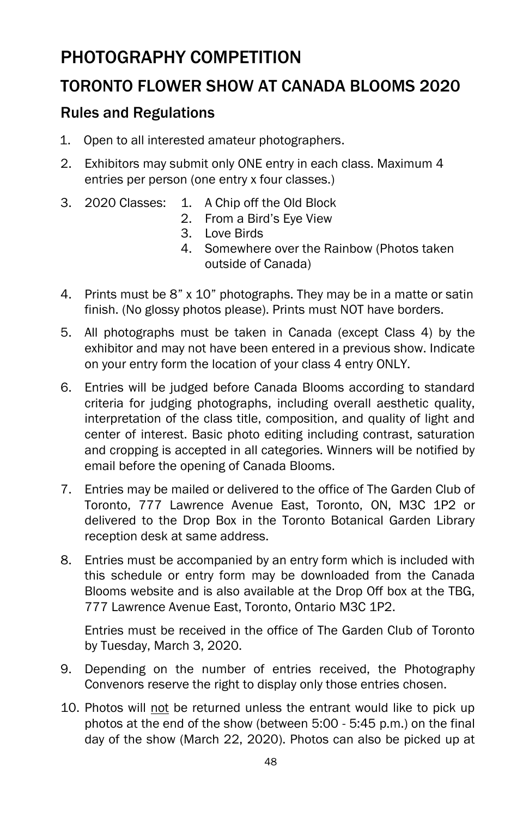## PHOTOGRAPHY COMPETITION

## TORONTO FLOWER SHOW AT CANADA BLOOMS 2020

## Rules and Regulations

- 1. Open to all interested amateur photographers.
- 2. Exhibitors may submit only ONE entry in each class. Maximum 4 entries per person (one entry x four classes.)
- 3. 2020 Classes: 1. A Chip off the Old Block
	- 2. From a Bird's Eye View
	- 3. Love Birds
	- 4. Somewhere over the Rainbow (Photos taken outside of Canada)
- 4. Prints must be 8" x 10" photographs. They may be in a matte or satin finish. (No glossy photos please). Prints must NOT have borders.
- 5. All photographs must be taken in Canada (except Class 4) by the exhibitor and may not have been entered in a previous show. Indicate on your entry form the location of your class 4 entry ONLY.
- 6. Entries will be judged before Canada Blooms according to standard criteria for judging photographs, including overall aesthetic quality, interpretation of the class title, composition, and quality of light and center of interest. Basic photo editing including contrast, saturation and cropping is accepted in all categories. Winners will be notified by email before the opening of Canada Blooms.
- 7. Entries may be mailed or delivered to the office of The Garden Club of Toronto, 777 Lawrence Avenue East, Toronto, ON, M3C 1P2 or delivered to the Drop Box in the Toronto Botanical Garden Library reception desk at same address.
- 8. Entries must be accompanied by an entry form which is included with this schedule or entry form may be downloaded from the Canada Blooms website and is also available at the Drop Off box at the TBG, 777 Lawrence Avenue East, Toronto, Ontario M3C 1P2.

Entries must be received in the office of The Garden Club of Toronto by Tuesday, March 3, 2020.

- 9. Depending on the number of entries received, the Photography Convenors reserve the right to display only those entries chosen.
- 10. Photos will not be returned unless the entrant would like to pick up photos at the end of the show (between 5:00 - 5:45 p.m.) on the final day of the show (March 22, 2020). Photos can also be picked up at